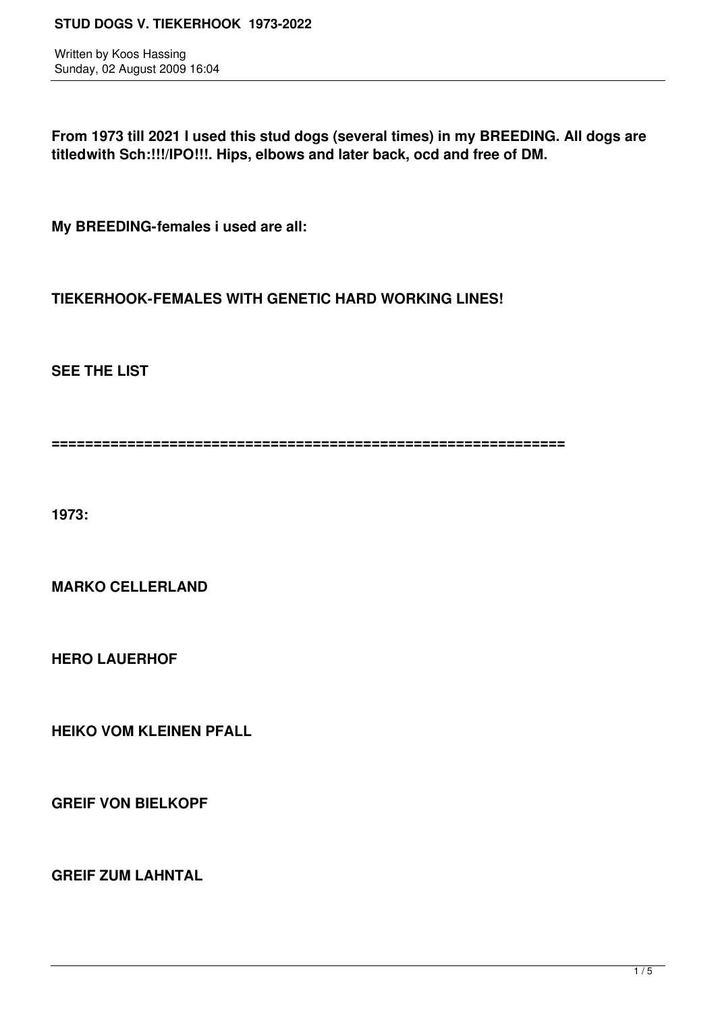Written by Koos Hassing Sunday, 02 August 2009 16:04

**From 1973 till 2021 I used this stud dogs (several times) in my BREEDING. All dogs are titledwith Sch:!!!/IPO!!!. Hips, elbows and later back, ocd and free of DM.** 

**My BREEDING-females i used are all:**

**TIEKERHOOK-FEMALES WITH GENETIC HARD WORKING LINES!**

**SEE THE LIST**

**=============================================================**

**1973:**

**MARKO CELLERLAND**

**HERO LAUERHOF**

**HEIKO VOM KLEINEN PFALL**

**GREIF VON BIELKOPF** 

**GREIF ZUM LAHNTAL**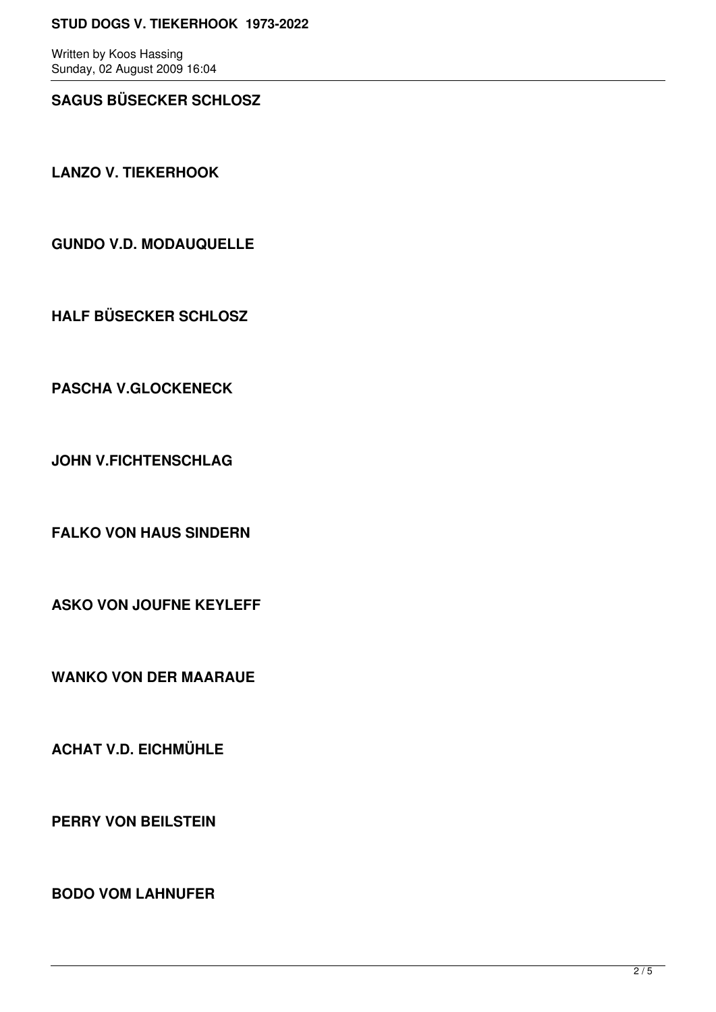#### **STUD DOGS V. TIEKERHOOK 1973-2022**

Written by Koos Hassing Sunday, 02 August 2009 16:04

# **SAGUS BÜSECKER SCHLOSZ**

**LANZO V. TIEKERHOOK**

**GUNDO V.D. MODAUQUELLE**

**HALF BÜSECKER SCHLOSZ**

**PASCHA V.GLOCKENECK** 

**JOHN V.FICHTENSCHLAG**

**FALKO VON HAUS SINDERN** 

**ASKO VON JOUFNE KEYLEFF**

**WANKO VON DER MAARAUE**

**ACHAT V.D. EICHMÜHLE**

**PERRY VON BEILSTEIN**

**BODO VOM LAHNUFER**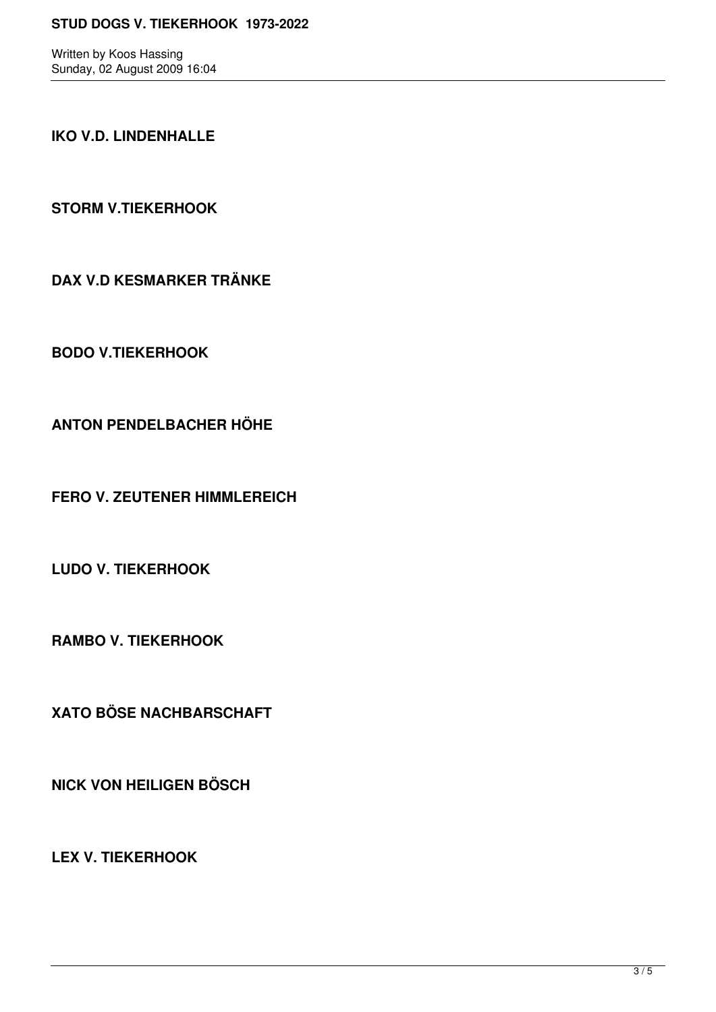Written by Koos Hassing Sunday, 02 August 2009 16:04

# **IKO V.D. LINDENHALLE**

**STORM V.TIEKERHOOK** 

**DAX V.D KESMARKER TRÄNKE**

**BODO V.TIEKERHOOK**

**ANTON PENDELBACHER HÖHE**

**FERO V. ZEUTENER HIMMLEREICH**

**LUDO V. TIEKERHOOK** 

**RAMBO V. TIEKERHOOK**

**XATO BÖSE NACHBARSCHAFT**

**NICK VON HEILIGEN BÖSCH**

**LEX V. TIEKERHOOK**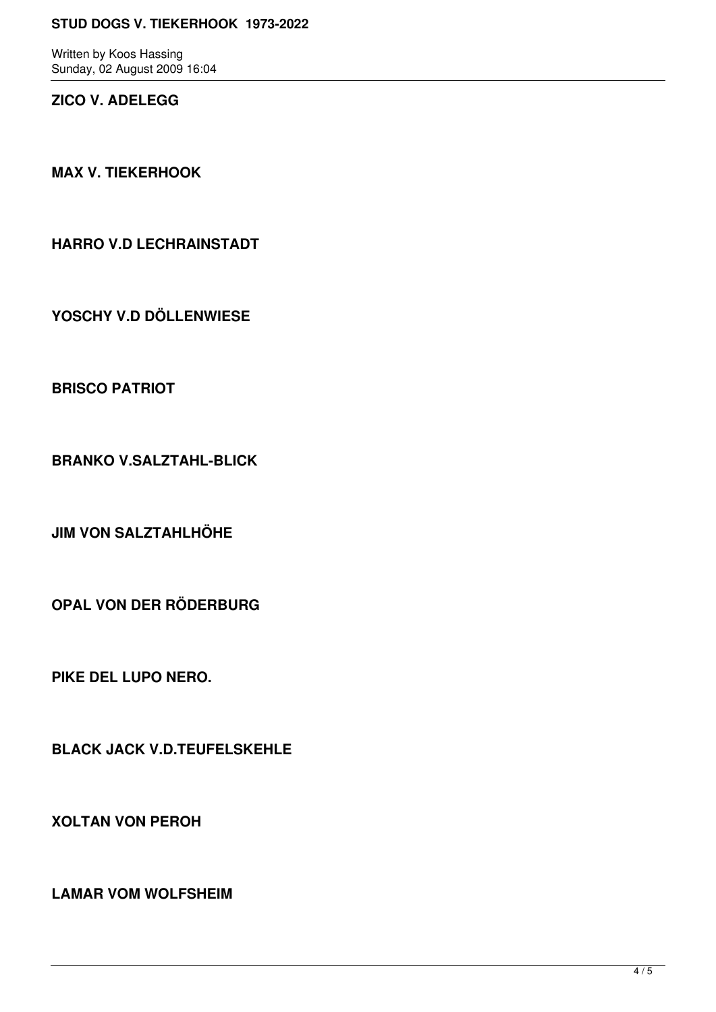#### **STUD DOGS V. TIEKERHOOK 1973-2022**

Written by Koos Hassing Sunday, 02 August 2009 16:04

## **ZICO V. ADELEGG**

**MAX V. TIEKERHOOK**

**HARRO V.D LECHRAINSTADT**

**YOSCHY V.D DÖLLENWIESE**

**BRISCO PATRIOT**

**BRANKO V.SALZTAHL-BLICK** 

**JIM VON SALZTAHLHÖHE**

**OPAL VON DER RÖDERBURG** 

**PIKE DEL LUPO NERO.**

**BLACK JACK V.D.TEUFELSKEHLE**

**XOLTAN VON PEROH**

**LAMAR VOM WOLFSHEIM**